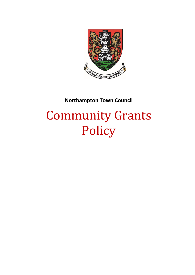

# **Northampton Town Council**

# Community Grants Policy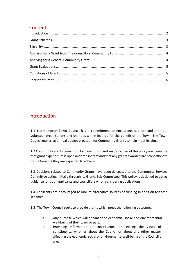## **Contents**

## <span id="page-1-0"></span>Introduction

1.1 Northampton Town Council has a commitment to encourage, support and promote volunteer organisations and charities within its area for the benefit of the Town. The Town Council makes an annual budget provision for Community Grants to help meet its aims.

1.2 Community grants come from taxpayer funds and key principles of this policy are to ensure that grant expenditure is open and transparent and that any grants awarded are proportionate to the benefits they are expected to achieve.

1.3 Decisions related to Community Grants have been delegated to the Community Services Committee acting initially through its Grants Sub-Committee. This policy is designed to act as guidance for both applicants and councillors when considering applications.

1.4 Applicants are encouraged to look at alternative sources of funding in addition to these schemes.

1.5 The Town Council seeks to provide grants which meet the following outcomes:

- a. Any purpose which will enhance the economic, social and environmental well-being of their ward or part.
- b. Providing information to constituents, or seeking the views of constituents, whether about the Council or about any other matter affecting the economic, social or environmental well‐being of the Council's area.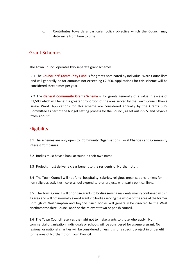c. Contributes towards a particular policy objective which the Council may determine from time to time.

#### <span id="page-2-0"></span>Grant Schemes

The Town Council operates two separate grant schemes:

2.1 The **Councillors' Community Fund** is for grants nominated by individual Ward Councillors and will generally be for amounts not exceeding £2,500. Applications for this scheme will be considered three times per year.

2.2 The **General Community Grants Scheme** is for grants generally of a value in excess of £2,500 which will benefit a greater proportion of the area served by the Town Council than a single Ward. Applications for this scheme are considered annually by the Grants Sub-Committee as part of the budget setting process for the Council, as set out in 5.5, and payable from April 1<sup>st</sup>.

# <span id="page-2-1"></span>Eligibility

3.1 The schemes are only open to: Community Organisations, Local Charities and Community Interest Companies.

3.2 Bodies must have a bank account in their own name.

3.3 Projects must deliver a clear benefit to the residents of Northampton.

3.4 The Town Council will not fund: hospitality, salaries, religious organisations (unless for non-religious activities), core school expenditure or projects with party political links.

3.5 The Town Council will prioritise grants to bodies serving residents mainly contained within its area and will not normally award grants to bodies serving the whole of the area of the former Borough of Northampton and beyond. Such bodies will generally be directed to the West Northamptonshire Council and/ or the relevant town or parish council.

3.6 The Town Council reserves the right not to make grants to those who apply. No commercial organisation, Individuals or schools will be considered for a general grant. No regional or national charities will be considered unless it is for a specific project in or benefit to the area of Northampton Town Council.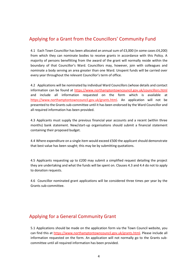### <span id="page-3-0"></span>Applying for a Grant from the Councillors' Community Fund

4.1 Each Town Councillor has been allocated an annual sum of £3,000 (in some cases £4,200) from which they can nominate bodies to receive grants in accordance with this Policy. A majority of persons benefitting from the award of the grant will normally reside within the boundary of that Councillor's Ward. Councillors may, however, join with colleagues and nominate a body serving an area greater than one Ward. Unspent funds will be carried over every year throughout the relevant Councillor's term of office.

4.2 Applications will be nominated by individual Ward Councillors (whose details and contact information can be found at<https://www.northamptontowncouncil.gov.uk/councillors.html> and include all information requested on the form which is available at [https://www.northamptontowncouncil.gov.uk/grants.html.](https://www.northamptontowncouncil.gov.uk/grants.html) An application will not be presented to the Grants sub-committee until it has been endorsed by the Ward Councillor and all required information has been provided.

4.3 Applicants must supply the previous financial year accounts and a recent (within three months) bank statement. New/start-up organisations should submit a financial statement containing their proposed budget.

4.4 Where expenditure on a single item would exceed £500 the applicant should demonstrate that best value has been sought; this may be by submitting quotations.

4.5 Applicants requesting up to £200 may submit a simplified request detailing the project they are undertaking and what the funds will be spent on. Clauses 4.3 and 4.4 do not to apply to donation requests.

4.6 Councillor nominated grant applications will be considered three times per year by the Grants sub-committee.

#### <span id="page-3-1"></span>Applying for a General Community Grant

5.1 Applications should be made on the application form via the Town Council website, you can find this at [https://www.northamptontowncouncil.gov.uk/grants.html.](https://www.northamptontowncouncil.gov.uk/grants.html) Please include all information requested on the form. An application will not normally go to the Grants subcommittee until all required information has been provided.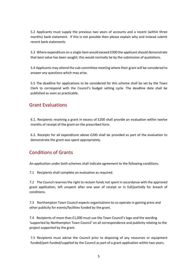5.2 Applicants must supply the previous two years of accounts and a recent (within three months) bank statement. If this is not possible then please explain why and instead submit recent bank statements

5.3 Where expenditure on a single item would exceed £500 the applicant should demonstrate that best value has been sought; this would normally be by the submission of quotations.

5.4 Applicants may attend the sub-committee meeting where their grant will be considered to answer any questions which may arise.

5.5 The deadline for applications to be considered for this scheme shall be set by the Town Clerk to correspond with the Council's budget setting cycle. The deadline date shall be published as soon as practicable.

#### <span id="page-4-0"></span>Grant Evaluations

6.1. Recipients receiving a grant in excess of £200 shall provide an evaluation within twelve months of receipt of the grant on the prescribed form.

6.2. Receipts for all expenditure above £200 shall be provided as part of the evaluation to demonstrate the grant was spent appropriately.

#### <span id="page-4-1"></span>Conditions of Grants

An application under both schemes shall indicate agreement to the following conditions.

7.1 Recipients shall complete an evaluation as required.

7.2 The Council reserves the right to reclaim funds not spent in accordance with the approved grant application, left unspent after one year of receipt or in full/partially for breach of conditions.

7.3 Northampton Town Council expects organisations to co-operate in gaining press and other publicity for events/facilities funded by the grant.

7.4 Recipients of more than £1,000 must use the Town Council's logo and the wording 'supported by Northampton Town Council' on all correspondence and publicity relating to the project supported by the grant.

7.5 Recipients must advise the Council prior to disposing of any resources or equipment funded/part-funded/supplied by the Council as part of a grant application within two years.